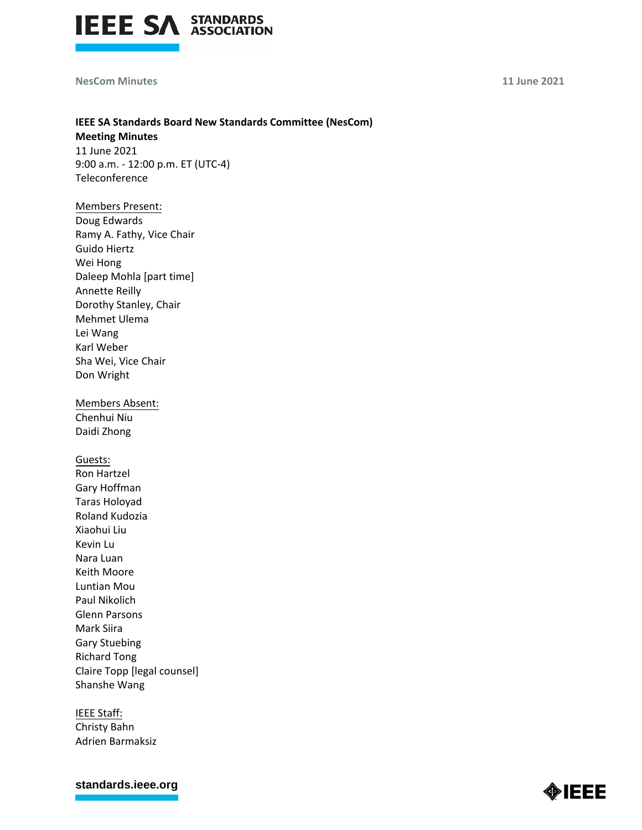

## **NesCom Minutes 11 June 2021**

# **IEEE SA Standards Board New Standards Committee (NesCom) Meeting Minutes**

11 June 2021 9:00 a.m. - 12:00 p.m. ET (UTC-4) Teleconference

# Members Present:

Doug Edwards Ramy A. Fathy, Vice Chair Guido Hiertz Wei Hong Daleep Mohla [part time] Annette Reilly Dorothy Stanley, Chair Mehmet Ulema Lei Wang Karl Weber Sha Wei, Vice Chair Don Wright

Members Absent: Chenhui Niu Daidi Zhong

Guests: Ron Hartzel Gary Hoffman Taras Holoyad Roland Kudozia Xiaohui Liu Kevin Lu Nara Luan Keith Moore Luntian Mou Paul Nikolich Glenn Parsons Mark Siira Gary Stuebing Richard Tong Claire Topp [legal counsel] Shanshe Wang

IEEE Staff: Christy Bahn Adrien Barmaksiz

**[standards.ieee.org](http://standards.ieee.org/)**

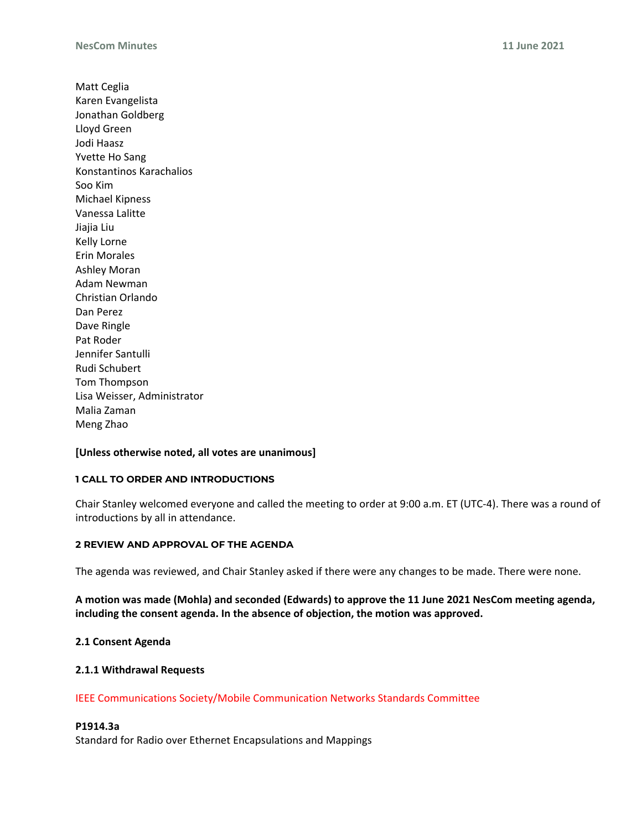Matt Ceglia Karen Evangelista Jonathan Goldberg Lloyd Green Jodi Haasz Yvette Ho Sang Konstantinos Karachalios Soo Kim Michael Kipness Vanessa Lalitte Jiajia Liu Kelly Lorne Erin Morales Ashley Moran Adam Newman Christian Orlando Dan Perez Dave Ringle Pat Roder Jennifer Santulli Rudi Schubert Tom Thompson Lisa Weisser, Administrator Malia Zaman Meng Zhao

## **[Unless otherwise noted, all votes are unanimous]**

## **1 CALL TO ORDER AND INTRODUCTIONS**

Chair Stanley welcomed everyone and called the meeting to order at 9:00 a.m. ET (UTC-4). There was a round of introductions by all in attendance.

#### **2 REVIEW AND APPROVAL OF THE AGENDA**

The agenda was reviewed, and Chair Stanley asked if there were any changes to be made. There were none.

**A motion was made (Mohla) and seconded (Edwards) to approve the 11 June 2021 NesCom meeting agenda, including the consent agenda. In the absence of objection, the motion was approved.**

## **2.1 Consent Agenda**

## **2.1.1 Withdrawal Requests**

IEEE Communications Society/Mobile Communication Networks Standards Committee

#### **P1914.3a**

Standard for Radio over Ethernet Encapsulations and Mappings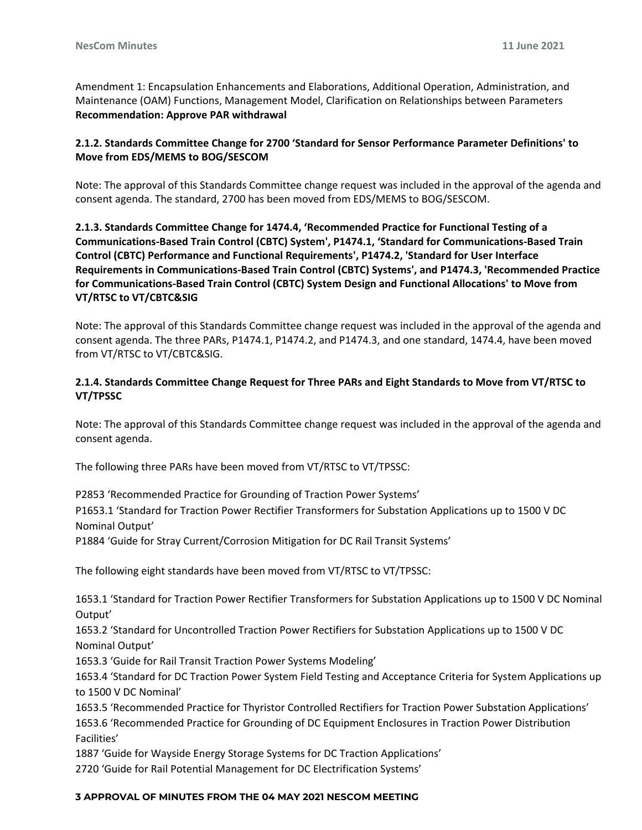Amendment 1: Encapsulation Enhancements and Elaborations, Additional Operation, Administration, and Maintenance (OAM) Functions, Management Model, Clarification on Relationships between Parameters **Recommendation: Approve PAR withdrawal**

# **2.1.2. Standards Committee Change for 2700 'Standard for Sensor Performance Parameter Definitions' to Move from EDS/MEMS to BOG/SESCOM**

Note: The approval of this Standards Committee change request was included in the approval of the agenda and consent agenda. The standard, 2700 has been moved from EDS/MEMS to BOG/SESCOM.

# **2.1.3. Standards Committee Change for 1474.4, 'Recommended Practice for Functional Testing of a Communications-Based Train Control (CBTC) System', P1474.1, 'Standard for Communications-Based Train Control (CBTC) Performance and Functional Requirements', P1474.2, 'Standard for User Interface Requirements in Communications-Based Train Control (CBTC) Systems', and P1474.3, 'Recommended Practice for Communications-Based Train Control (CBTC) System Design and Functional Allocations' to Move from VT/RTSC to VT/CBTC&SIG**

Note: The approval of this Standards Committee change request was included in the approval of the agenda and consent agenda. The three PARs, P1474.1, P1474.2, and P1474.3, and one standard, 1474.4, have been moved from VT/RTSC to VT/CBTC&SIG.

# **2.1.4. Standards Committee Change Request for Three PARs and Eight Standards to Move from VT/RTSC to VT/TPSSC**

Note: The approval of this Standards Committee change request was included in the approval of the agenda and consent agenda.

The following three PARs have been moved from VT/RTSC to VT/TPSSC:

P2853 'Recommended Practice for Grounding of Traction Power Systems'

P1653.1 'Standard for Traction Power Rectifier Transformers for Substation Applications up to 1500 V DC Nominal Output'

P1884 'Guide for Stray Current/Corrosion Mitigation for DC Rail Transit Systems'

The following eight standards have been moved from VT/RTSC to VT/TPSSC:

1653.1 'Standard for Traction Power Rectifier Transformers for Substation Applications up to 1500 V DC Nominal Output'

1653.2 'Standard for Uncontrolled Traction Power Rectifiers for Substation Applications up to 1500 V DC Nominal Output'

1653.3 'Guide for Rail Transit Traction Power Systems Modeling'

1653.4 'Standard for DC Traction Power System Field Testing and Acceptance Criteria for System Applications up to 1500 V DC Nominal'

1653.5 'Recommended Practice for Thyristor Controlled Rectifiers for Traction Power Substation Applications' 1653.6 'Recommended Practice for Grounding of DC Equipment Enclosures in Traction Power Distribution Facilities'

1887 'Guide for Wayside Energy Storage Systems for DC Traction Applications'

2720 'Guide for Rail Potential Management for DC Electrification Systems'

## **3 APPROVAL OF MINUTES FROM THE 04 MAY 2021 NESCOM MEETING**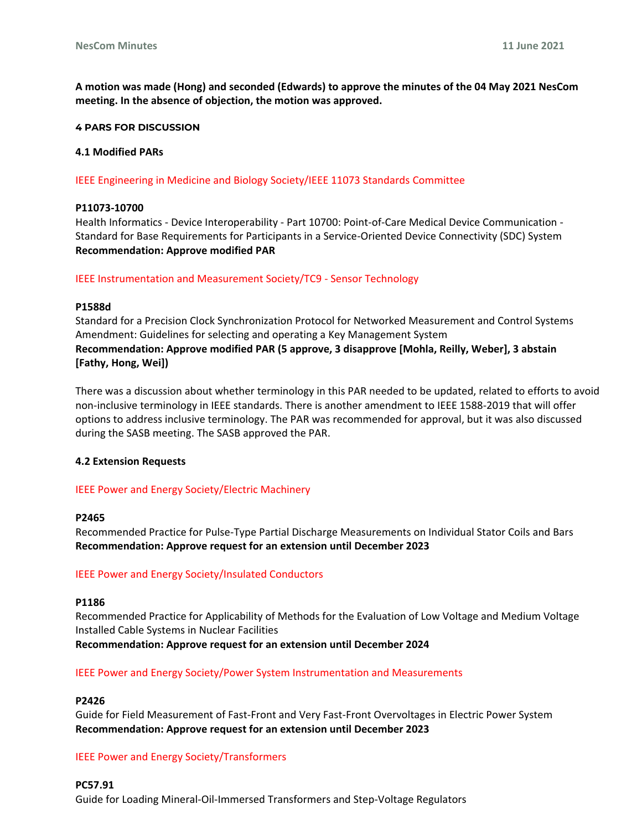**A motion was made (Hong) and seconded (Edwards) to approve the minutes of the 04 May 2021 NesCom meeting. In the absence of objection, the motion was approved.**

#### **4 PARS FOR DISCUSSION**

#### **4.1 Modified PARs**

IEEE Engineering in Medicine and Biology Society/IEEE 11073 Standards Committee

#### **P11073-10700**

Health Informatics - Device Interoperability - Part 10700: Point-of-Care Medical Device Communication - Standard for Base Requirements for Participants in a Service-Oriented Device Connectivity (SDC) System **Recommendation: Approve modified PAR**

IEEE Instrumentation and Measurement Society/TC9 - Sensor Technology

#### **P1588d**

Standard for a Precision Clock Synchronization Protocol for Networked Measurement and Control Systems Amendment: Guidelines for selecting and operating a Key Management System **Recommendation: Approve modified PAR (5 approve, 3 disapprove [Mohla, Reilly, Weber], 3 abstain [Fathy, Hong, Wei])**

There was a discussion about whether terminology in this PAR needed to be updated, related to efforts to avoid non-inclusive terminology in IEEE standards. There is another amendment to IEEE 1588-2019 that will offer options to address inclusive terminology. The PAR was recommended for approval, but it was also discussed during the SASB meeting. The SASB approved the PAR.

## **4.2 Extension Requests**

## IEEE Power and Energy Society/Electric Machinery

#### **P2465**

Recommended Practice for Pulse-Type Partial Discharge Measurements on Individual Stator Coils and Bars **Recommendation: Approve request for an extension until December 2023**

## IEEE Power and Energy Society/Insulated Conductors

#### **P1186**

Recommended Practice for Applicability of Methods for the Evaluation of Low Voltage and Medium Voltage Installed Cable Systems in Nuclear Facilities **Recommendation: Approve request for an extension until December 2024**

## IEEE Power and Energy Society/Power System Instrumentation and Measurements

## **P2426**

Guide for Field Measurement of Fast-Front and Very Fast-Front Overvoltages in Electric Power System **Recommendation: Approve request for an extension until December 2023**

## IEEE Power and Energy Society/Transformers

## **PC57.91**

Guide for Loading Mineral-Oil-Immersed Transformers and Step-Voltage Regulators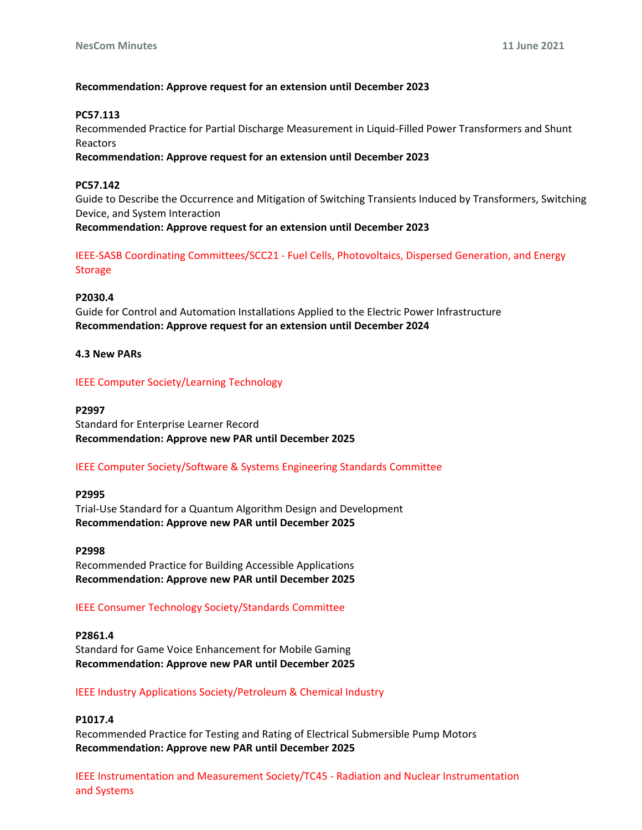## **Recommendation: Approve request for an extension until December 2023**

# **PC57.113**

Recommended Practice for Partial Discharge Measurement in Liquid-Filled Power Transformers and Shunt Reactors

**Recommendation: Approve request for an extension until December 2023**

# **PC57.142**

Guide to Describe the Occurrence and Mitigation of Switching Transients Induced by Transformers, Switching Device, and System Interaction

**Recommendation: Approve request for an extension until December 2023**

IEEE-SASB Coordinating Committees/SCC21 - Fuel Cells, Photovoltaics, Dispersed Generation, and Energy Storage

# **P2030.4**

Guide for Control and Automation Installations Applied to the Electric Power Infrastructure **Recommendation: Approve request for an extension until December 2024**

# **4.3 New PARs**

# IEEE Computer Society/Learning Technology

## **P2997**

Standard for Enterprise Learner Record **Recommendation: Approve new PAR until December 2025**

# IEEE Computer Society/Software & Systems Engineering Standards Committee

## **P2995**

Trial-Use Standard for a Quantum Algorithm Design and Development **Recommendation: Approve new PAR until December 2025**

**P2998** Recommended Practice for Building Accessible Applications **Recommendation: Approve new PAR until December 2025**

# IEEE Consumer Technology Society/Standards Committee

**P2861.4** Standard for Game Voice Enhancement for Mobile Gaming **Recommendation: Approve new PAR until December 2025**

## IEEE Industry Applications Society/Petroleum & Chemical Industry

## **P1017.4**

Recommended Practice for Testing and Rating of Electrical Submersible Pump Motors **Recommendation: Approve new PAR until December 2025**

IEEE Instrumentation and Measurement Society/TC45 - Radiation and Nuclear Instrumentation and Systems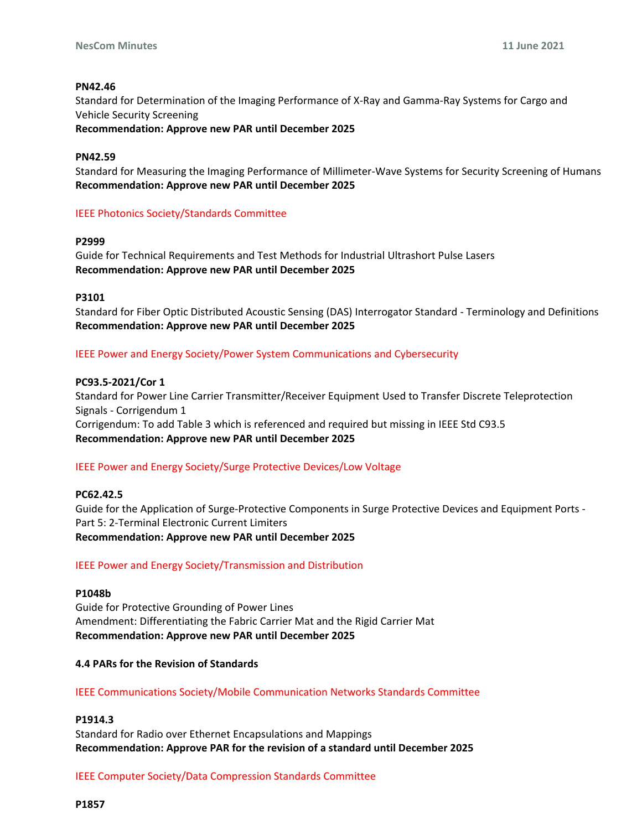## **PN42.46**

Standard for Determination of the Imaging Performance of X-Ray and Gamma-Ray Systems for Cargo and Vehicle Security Screening

**Recommendation: Approve new PAR until December 2025**

#### **PN42.59**

Standard for Measuring the Imaging Performance of Millimeter-Wave Systems for Security Screening of Humans **Recommendation: Approve new PAR until December 2025**

# IEEE Photonics Society/Standards Committee

## **P2999**

Guide for Technical Requirements and Test Methods for Industrial Ultrashort Pulse Lasers **Recommendation: Approve new PAR until December 2025**

#### **P3101**

Standard for Fiber Optic Distributed Acoustic Sensing (DAS) Interrogator Standard - Terminology and Definitions **Recommendation: Approve new PAR until December 2025**

IEEE Power and Energy Society/Power System Communications and Cybersecurity

#### **PC93.5-2021/Cor 1**

Standard for Power Line Carrier Transmitter/Receiver Equipment Used to Transfer Discrete Teleprotection Signals - Corrigendum 1 Corrigendum: To add Table 3 which is referenced and required but missing in IEEE Std C93.5 **Recommendation: Approve new PAR until December 2025**

## IEEE Power and Energy Society/Surge Protective Devices/Low Voltage

## **PC62.42.5**

Guide for the Application of Surge-Protective Components in Surge Protective Devices and Equipment Ports - Part 5: 2-Terminal Electronic Current Limiters **Recommendation: Approve new PAR until December 2025**

# IEEE Power and Energy Society/Transmission and Distribution

#### **P1048b**

Guide for Protective Grounding of Power Lines Amendment: Differentiating the Fabric Carrier Mat and the Rigid Carrier Mat **Recommendation: Approve new PAR until December 2025**

## **4.4 PARs for the Revision of Standards**

## IEEE Communications Society/Mobile Communication Networks Standards Committee

# **P1914.3**

Standard for Radio over Ethernet Encapsulations and Mappings **Recommendation: Approve PAR for the revision of a standard until December 2025**

IEEE Computer Society/Data Compression Standards Committee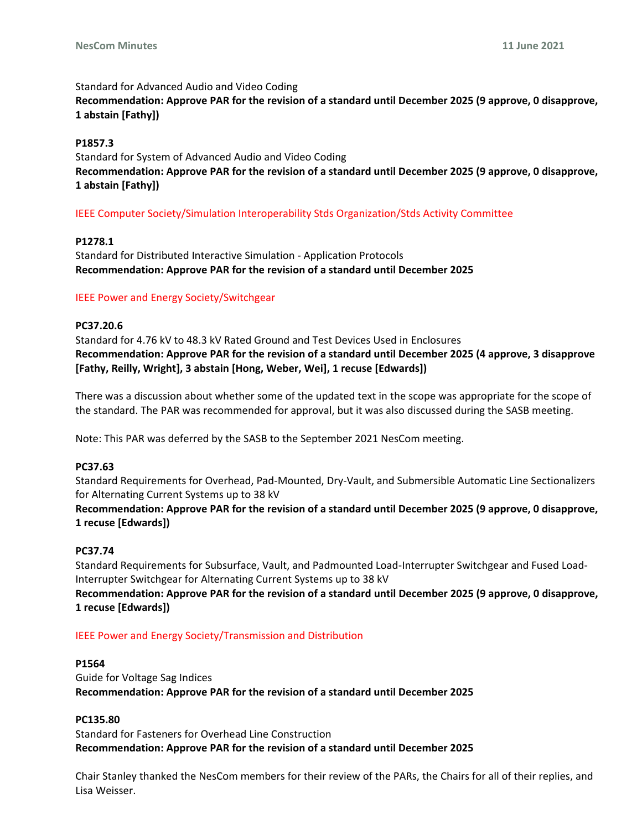### Standard for Advanced Audio and Video Coding

**Recommendation: Approve PAR for the revision of a standard until December 2025 (9 approve, 0 disapprove, 1 abstain [Fathy])**

# **P1857.3**

Standard for System of Advanced Audio and Video Coding **Recommendation: Approve PAR for the revision of a standard until December 2025 (9 approve, 0 disapprove, 1 abstain [Fathy])**

# IEEE Computer Society/Simulation Interoperability Stds Organization/Stds Activity Committee

# **P1278.1**

Standard for Distributed Interactive Simulation - Application Protocols **Recommendation: Approve PAR for the revision of a standard until December 2025**

# IEEE Power and Energy Society/Switchgear

# **PC37.20.6**

Standard for 4.76 kV to 48.3 kV Rated Ground and Test Devices Used in Enclosures **Recommendation: Approve PAR for the revision of a standard until December 2025 (4 approve, 3 disapprove [Fathy, Reilly, Wright], 3 abstain [Hong, Weber, Wei], 1 recuse [Edwards])** 

There was a discussion about whether some of the updated text in the scope was appropriate for the scope of the standard. The PAR was recommended for approval, but it was also discussed during the SASB meeting.

Note: This PAR was deferred by the SASB to the September 2021 NesCom meeting.

## **PC37.63**

Standard Requirements for Overhead, Pad-Mounted, Dry-Vault, and Submersible Automatic Line Sectionalizers for Alternating Current Systems up to 38 kV

**Recommendation: Approve PAR for the revision of a standard until December 2025 (9 approve, 0 disapprove, 1 recuse [Edwards])**

## **PC37.74**

Standard Requirements for Subsurface, Vault, and Padmounted Load-Interrupter Switchgear and Fused Load-Interrupter Switchgear for Alternating Current Systems up to 38 kV

**Recommendation: Approve PAR for the revision of a standard until December 2025 (9 approve, 0 disapprove, 1 recuse [Edwards])**

## IEEE Power and Energy Society/Transmission and Distribution

## **P1564**

Guide for Voltage Sag Indices **Recommendation: Approve PAR for the revision of a standard until December 2025**

## **PC135.80**

Standard for Fasteners for Overhead Line Construction **Recommendation: Approve PAR for the revision of a standard until December 2025**

Chair Stanley thanked the NesCom members for their review of the PARs, the Chairs for all of their replies, and Lisa Weisser.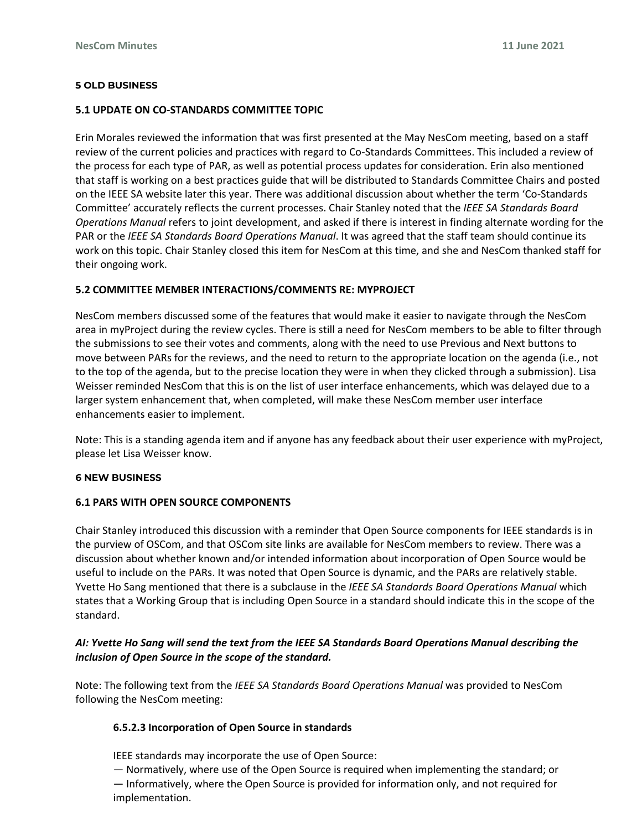#### **5 OLD BUSINESS**

#### **5.1 UPDATE ON CO-STANDARDS COMMITTEE TOPIC**

Erin Morales reviewed the information that was first presented at the May NesCom meeting, based on a staff review of the current policies and practices with regard to Co-Standards Committees. This included a review of the process for each type of PAR, as well as potential process updates for consideration. Erin also mentioned that staff is working on a best practices guide that will be distributed to Standards Committee Chairs and posted on the IEEE SA website later this year. There was additional discussion about whether the term 'Co-Standards Committee' accurately reflects the current processes. Chair Stanley noted that the *IEEE SA Standards Board Operations Manual* refers to joint development, and asked if there is interest in finding alternate wording for the PAR or the *IEEE SA Standards Board Operations Manual*. It was agreed that the staff team should continue its work on this topic. Chair Stanley closed this item for NesCom at this time, and she and NesCom thanked staff for their ongoing work.

## **5.2 COMMITTEE MEMBER INTERACTIONS/COMMENTS RE: MYPROJECT**

NesCom members discussed some of the features that would make it easier to navigate through the NesCom area in myProject during the review cycles. There is still a need for NesCom members to be able to filter through the submissions to see their votes and comments, along with the need to use Previous and Next buttons to move between PARs for the reviews, and the need to return to the appropriate location on the agenda (i.e., not to the top of the agenda, but to the precise location they were in when they clicked through a submission). Lisa Weisser reminded NesCom that this is on the list of user interface enhancements, which was delayed due to a larger system enhancement that, when completed, will make these NesCom member user interface enhancements easier to implement.

Note: This is a standing agenda item and if anyone has any feedback about their user experience with myProject, please let Lisa Weisser know.

#### **6 NEW BUSINESS**

## **6.1 PARS WITH OPEN SOURCE COMPONENTS**

Chair Stanley introduced this discussion with a reminder that Open Source components for IEEE standards is in the purview of OSCom, and that OSCom site links are available for NesCom members to review. There was a discussion about whether known and/or intended information about incorporation of Open Source would be useful to include on the PARs. It was noted that Open Source is dynamic, and the PARs are relatively stable. Yvette Ho Sang mentioned that there is a subclause in the *IEEE SA Standards Board Operations Manual* which states that a Working Group that is including Open Source in a standard should indicate this in the scope of the standard.

# *AI: Yvette Ho Sang will send the text from the IEEE SA Standards Board Operations Manual describing the inclusion of Open Source in the scope of the standard.*

Note: The following text from the *IEEE SA Standards Board Operations Manual* was provided to NesCom following the NesCom meeting:

## **6.5.2.3 Incorporation of Open Source in standards**

IEEE standards may incorporate the use of Open Source:

— Normatively, where use of the Open Source is required when implementing the standard; or

— Informatively, where the Open Source is provided for information only, and not required for implementation.